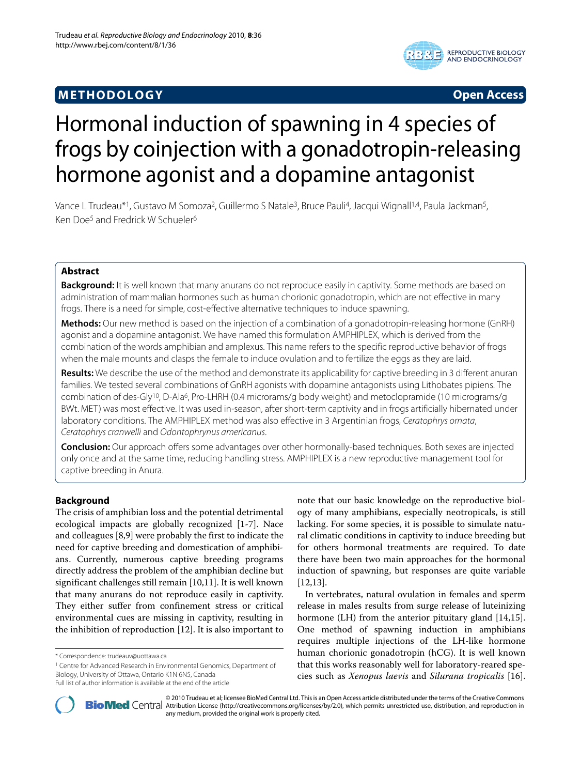## **METHODOLOGY Open Access**



# Hormonal induction of spawning in 4 species of frogs by coinjection with a gonadotropin-releasing hormone agonist and a dopamine antagonist

Vance L Trudeau\*1, Gustavo M Somoza<sup>2</sup>, Guillermo S Natale<sup>3</sup>, Bruce Pauli<sup>4</sup>, Jacqui Wignall<sup>1,4</sup>, Paula Jackman<sup>5</sup>, Ken Doe<sup>5</sup> and Fredrick W Schueler<sup>6</sup>

## **Abstract**

**Background:** It is well known that many anurans do not reproduce easily in captivity. Some methods are based on administration of mammalian hormones such as human chorionic gonadotropin, which are not effective in many frogs. There is a need for simple, cost-effective alternative techniques to induce spawning.

**Methods:** Our new method is based on the injection of a combination of a gonadotropin-releasing hormone (GnRH) agonist and a dopamine antagonist. We have named this formulation AMPHIPLEX, which is derived from the combination of the words amphibian and amplexus. This name refers to the specific reproductive behavior of frogs when the male mounts and clasps the female to induce ovulation and to fertilize the eggs as they are laid.

**Results:** We describe the use of the method and demonstrate its applicability for captive breeding in 3 different anuran families. We tested several combinations of GnRH agonists with dopamine antagonists using Lithobates pipiens. The combination of des-Gly10, D-Ala6, Pro-LHRH (0.4 microrams/g body weight) and metoclopramide (10 micrograms/g BWt. MET) was most effective. It was used in-season, after short-term captivity and in frogs artificially hibernated under laboratory conditions. The AMPHIPLEX method was also effective in 3 Argentinian frogs, Ceratophrys ornata, Ceratophrys cranwelli and Odontophrynus americanus.

**Conclusion:** Our approach offers some advantages over other hormonally-based techniques. Both sexes are injected only once and at the same time, reducing handling stress. AMPHIPLEX is a new reproductive management tool for captive breeding in Anura.

## **Background**

The crisis of amphibian loss and the potential detrimental ecological impacts are globally recognized [\[1](#page-7-0)-[7\]](#page-7-1). Nace and colleagues [\[8](#page-7-2),[9\]](#page-7-3) were probably the first to indicate the need for captive breeding and domestication of amphibians. Currently, numerous captive breeding programs directly address the problem of the amphibian decline but significant challenges still remain [\[10](#page-7-4)[,11\]](#page-7-5). It is well known that many anurans do not reproduce easily in captivity. They either suffer from confinement stress or critical environmental cues are missing in captivity, resulting in the inhibition of reproduction [[12\]](#page-7-6). It is also important to

1 Centre for Advanced Research in Environmental Genomics, Department of Biology, University of Ottawa, Ontario K1N 6N5, Canada

note that our basic knowledge on the reproductive biology of many amphibians, especially neotropicals, is still lacking. For some species, it is possible to simulate natural climatic conditions in captivity to induce breeding but for others hormonal treatments are required. To date there have been two main approaches for the hormonal induction of spawning, but responses are quite variable [[12,](#page-7-6)[13\]](#page-7-7).

In vertebrates, natural ovulation in females and sperm release in males results from surge release of luteinizing hormone (LH) from the anterior pituitary gland [\[14](#page-7-8)[,15](#page-7-9)]. One method of spawning induction in amphibians requires multiple injections of the LH-like hormone human chorionic gonadotropin (hCG). It is well known that this works reasonably well for laboratory-reared species such as *Xenopus laevis* and *Silurana tropicalis* [\[16](#page-7-10)].



2010 Trudeau et al; licensee [BioMed](http://www.biomedcentral.com/) Central Ltd. This is an Open Access article distributed under the terms of the Creative Commons (http://creativecommons.org/licenses/by/2.0), which permits unrestricted use, distribution any medium, provided the original work is properly cited.

<sup>\*</sup> Correspondence: trudeauv@uottawa.ca

Full list of author information is available at the end of the article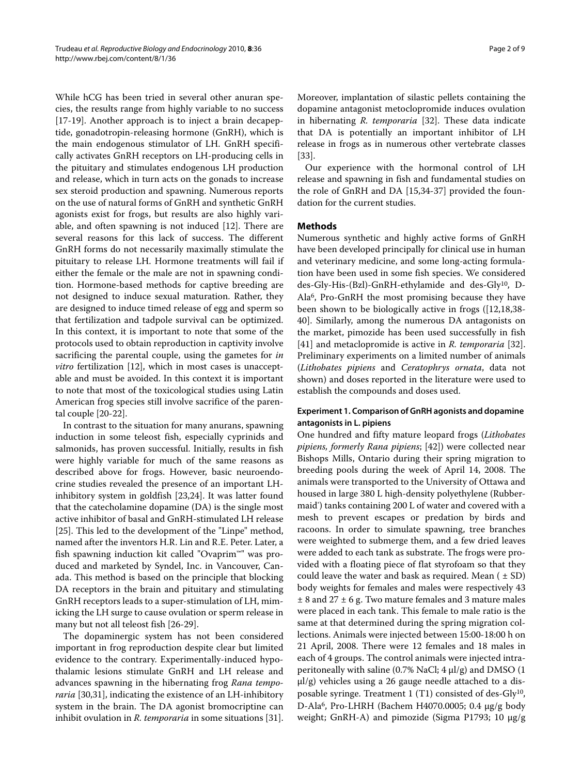While hCG has been tried in several other anuran species, the results range from highly variable to no success [[17-](#page-7-11)[19](#page-7-12)]. Another approach is to inject a brain decapeptide, gonadotropin-releasing hormone (GnRH), which is the main endogenous stimulator of LH. GnRH specifically activates GnRH receptors on LH-producing cells in the pituitary and stimulates endogenous LH production and release, which in turn acts on the gonads to increase sex steroid production and spawning. Numerous reports on the use of natural forms of GnRH and synthetic GnRH agonists exist for frogs, but results are also highly variable, and often spawning is not induced [\[12](#page-7-6)]. There are several reasons for this lack of success. The different GnRH forms do not necessarily maximally stimulate the pituitary to release LH. Hormone treatments will fail if either the female or the male are not in spawning condition. Hormone-based methods for captive breeding are not designed to induce sexual maturation. Rather, they are designed to induce timed release of egg and sperm so that fertilization and tadpole survival can be optimized. In this context, it is important to note that some of the protocols used to obtain reproduction in captivity involve sacrificing the parental couple, using the gametes for *in vitro* fertilization [\[12](#page-7-6)], which in most cases is unacceptable and must be avoided. In this context it is important to note that most of the toxicological studies using Latin American frog species still involve sacrifice of the parental couple [[20-](#page-7-13)[22](#page-7-14)].

In contrast to the situation for many anurans, spawning induction in some teleost fish, especially cyprinids and salmonids, has proven successful. Initially, results in fish were highly variable for much of the same reasons as described above for frogs. However, basic neuroendocrine studies revealed the presence of an important LHinhibitory system in goldfish [[23](#page-7-15),[24](#page-7-16)]. It was latter found that the catecholamine dopamine (DA) is the single most active inhibitor of basal and GnRH-stimulated LH release [[25\]](#page-7-17). This led to the development of the "Linpe" method, named after the inventors H.R. Lin and R.E. Peter. Later, a fish spawning induction kit called "Ovaprim™" was produced and marketed by Syndel, Inc. in Vancouver, Canada. This method is based on the principle that blocking DA receptors in the brain and pituitary and stimulating GnRH receptors leads to a super-stimulation of LH, mimicking the LH surge to cause ovulation or sperm release in many but not all teleost fish [\[26-](#page-7-18)[29](#page-7-19)].

The dopaminergic system has not been considered important in frog reproduction despite clear but limited evidence to the contrary. Experimentally-induced hypothalamic lesions stimulate GnRH and LH release and advances spawning in the hibernating frog *Rana temporaria* [[30,](#page-8-0)[31\]](#page-8-1), indicating the existence of an LH-inhibitory system in the brain. The DA agonist bromocriptine can inhibit ovulation in *R. temporaria* in some situations [\[31](#page-8-1)].

Moreover, implantation of silastic pellets containing the dopamine antagonist metoclopromide induces ovulation in hibernating *R. temporaria* [\[32](#page-8-2)]. These data indicate that DA is potentially an important inhibitor of LH release in frogs as in numerous other vertebrate classes [[33\]](#page-8-3).

Our experience with the hormonal control of LH release and spawning in fish and fundamental studies on the role of GnRH and DA [\[15,](#page-7-9)[34](#page-8-4)[-37](#page-8-5)] provided the foundation for the current studies.

#### **Methods**

Numerous synthetic and highly active forms of GnRH have been developed principally for clinical use in human and veterinary medicine, and some long-acting formulation have been used in some fish species. We considered des-Gly-His-(Bzl)-GnRH-ethylamide and des-Gly10, D-Ala6, Pro-GnRH the most promising because they have been shown to be biologically active in frogs ([\[12](#page-7-6)[,18](#page-7-20)[,38](#page-8-6)- [40\]](#page-8-7). Similarly, among the numerous DA antagonists on the market, pimozide has been used successfully in fish [[41\]](#page-8-8) and metaclopromide is active in *R. temporaria* [\[32](#page-8-2)]. Preliminary experiments on a limited number of animals (*Lithobates pipiens* and *Ceratophrys ornata*, data not shown) and doses reported in the literature were used to establish the compounds and doses used.

### **Experiment 1. Comparison of GnRH agonists and dopamine antagonists in L. pipiens**

One hundred and fifty mature leopard frogs (*Lithobates pipiens, formerly Rana pipiens*; [[42](#page-8-9)]) were collected near Bishops Mills, Ontario during their spring migration to breeding pools during the week of April 14, 2008. The animals were transported to the University of Ottawa and housed in large 380 L high-density polyethylene (Rubbermaid® ) tanks containing 200 L of water and covered with a mesh to prevent escapes or predation by birds and racoons. In order to simulate spawning, tree branches were weighted to submerge them, and a few dried leaves were added to each tank as substrate. The frogs were provided with a floating piece of flat styrofoam so that they could leave the water and bask as required. Mean  $( \pm SD)$ body weights for females and males were respectively 43  $± 8$  and  $27 ± 6$  g. Two mature females and 3 mature males were placed in each tank. This female to male ratio is the same at that determined during the spring migration collections. Animals were injected between 15:00-18:00 h on 21 April, 2008. There were 12 females and 18 males in each of 4 groups. The control animals were injected intraperitoneally with saline (0.7% NaCl; 4 μl/g) and DMSO (1 μl/g) vehicles using a 26 gauge needle attached to a disposable syringe. Treatment 1 (T1) consisted of des-Gly10, D-Ala6, Pro-LHRH (Bachem H4070.0005; 0.4 μg/g body weight; GnRH-A) and pimozide (Sigma P1793; 10 μg/g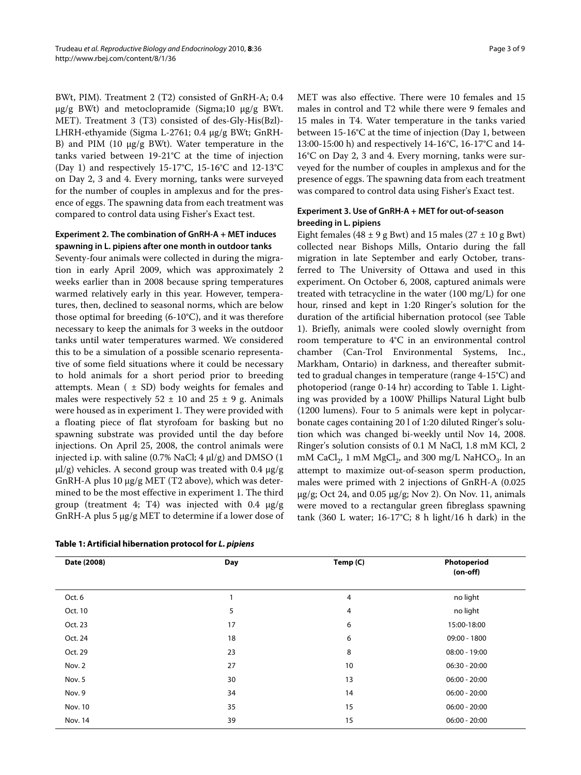BWt, PIM). Treatment 2 (T2) consisted of GnRH-A; 0.4 μg/g BWt) and metoclopramide (Sigma;10 μg/g BWt. MET). Treatment 3 (T3) consisted of des-Gly-His(Bzl)- LHRH-ethyamide (Sigma L-2761; 0.4 μg/g BWt; GnRH-B) and PIM (10 μg/g BWt). Water temperature in the tanks varied between 19-21°C at the time of injection (Day 1) and respectively 15-17°C, 15-16°C and 12-13°C on Day 2, 3 and 4. Every morning, tanks were surveyed for the number of couples in amplexus and for the presence of eggs. The spawning data from each treatment was compared to control data using Fisher's Exact test.

## **Experiment 2. The combination of GnRH-A + MET induces spawning in L. pipiens after one month in outdoor tanks**

Seventy-four animals were collected in during the migration in early April 2009, which was approximately 2 weeks earlier than in 2008 because spring temperatures warmed relatively early in this year. However, temperatures, then, declined to seasonal norms, which are below those optimal for breeding (6-10°C), and it was therefore necessary to keep the animals for 3 weeks in the outdoor tanks until water temperatures warmed. We considered this to be a simulation of a possible scenario representative of some field situations where it could be necessary to hold animals for a short period prior to breeding attempts. Mean  $( \pm SD)$  body weights for females and males were respectively  $52 \pm 10$  and  $25 \pm 9$  g. Animals were housed as in experiment 1. They were provided with a floating piece of flat styrofoam for basking but no spawning substrate was provided until the day before injections. On April 25, 2008, the control animals were injected i.p. with saline (0.7% NaCl; 4 μl/g) and DMSO (1 μl/g) vehicles. A second group was treated with 0.4 μg/g GnRH-A plus 10 μg/g MET (T2 above), which was determined to be the most effective in experiment 1. The third group (treatment 4; T4) was injected with 0.4 μg/g GnRH-A plus 5 μg/g MET to determine if a lower dose of

**Table 1: Artificial hibernation protocol for L. pipiens**

MET was also effective. There were 10 females and 15 males in control and T2 while there were 9 females and 15 males in T4. Water temperature in the tanks varied between 15-16°C at the time of injection (Day 1, between 13:00-15:00 h) and respectively 14-16°C, 16-17°C and 14- 16°C on Day 2, 3 and 4. Every morning, tanks were surveyed for the number of couples in amplexus and for the presence of eggs. The spawning data from each treatment was compared to control data using Fisher's Exact test.

### **Experiment 3. Use of GnRH-A + MET for out-of-season breeding in L. pipiens**

Eight females (48  $\pm$  9 g Bwt) and 15 males (27  $\pm$  10 g Bwt) collected near Bishops Mills, Ontario during the fall migration in late September and early October, transferred to The University of Ottawa and used in this experiment. On October 6, 2008, captured animals were treated with tetracycline in the water (100 mg/L) for one hour, rinsed and kept in 1:20 Ringer's solution for the duration of the artificial hibernation protocol (see Table 1). Briefly, animals were cooled slowly overnight from room temperature to 4°C in an environmental control chamber (Can-Trol Environmental Systems, Inc., Markham, Ontario) in darkness, and thereafter submitted to gradual changes in temperature (range 4-15°C) and photoperiod (range 0-14 hr) according to Table 1. Lighting was provided by a 100W Phillips Natural Light bulb (1200 lumens). Four to 5 animals were kept in polycarbonate cages containing 20 l of 1:20 diluted Ringer's solution which was changed bi-weekly until Nov 14, 2008. Ringer's solution consists of 0.1 M NaCl, 1.8 mM KCl, 2 mM CaCl<sub>2</sub>, 1 mM MgCl<sub>2</sub>, and 300 mg/L NaHCO<sub>3</sub>. In an attempt to maximize out-of-season sperm production, males were primed with 2 injections of GnRH-A (0.025 μg/g; Oct 24, and 0.05 μg/g; Nov 2). On Nov. 11, animals were moved to a rectangular green fibreglass spawning tank (360 L water;  $16-17^{\circ}$ C; 8 h light/16 h dark) in the

| Date (2008) | Day | Temp (C)       | Photoperiod<br>(on-off) |
|-------------|-----|----------------|-------------------------|
| Oct. 6      |     | $\overline{4}$ | no light                |
| Oct. 10     | 5   | 4              | no light                |
| Oct. 23     | 17  | 6              | 15:00-18:00             |
| Oct. 24     | 18  | 6              | 09:00 - 1800            |
| Oct. 29     | 23  | 8              | $08:00 - 19:00$         |
| Nov. 2      | 27  | 10             | $06:30 - 20:00$         |
| Nov. 5      | 30  | 13             | $06:00 - 20:00$         |
| Nov. 9      | 34  | 14             | $06:00 - 20:00$         |
| Nov. 10     | 35  | 15             | $06:00 - 20:00$         |
| Nov. 14     | 39  | 15             | $06:00 - 20:00$         |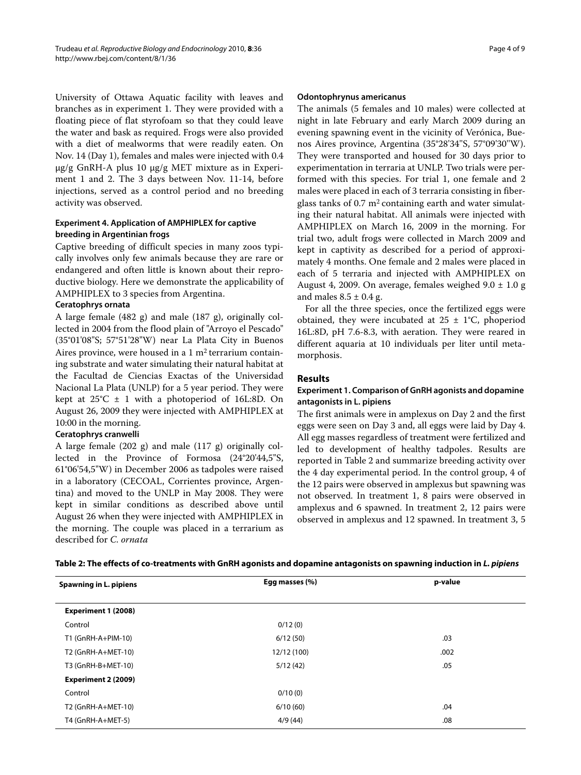University of Ottawa Aquatic facility with leaves and branches as in experiment 1. They were provided with a floating piece of flat styrofoam so that they could leave the water and bask as required. Frogs were also provided with a diet of mealworms that were readily eaten. On Nov. 14 (Day 1), females and males were injected with 0.4 μg/g GnRH-A plus 10 μg/g MET mixture as in Experiment 1 and 2. The 3 days between Nov. 11-14, before injections, served as a control period and no breeding activity was observed.

#### **Experiment 4. Application of AMPHIPLEX for captive breeding in Argentinian frogs**

Captive breeding of difficult species in many zoos typically involves only few animals because they are rare or endangered and often little is known about their reproductive biology. Here we demonstrate the applicability of AMPHIPLEX to 3 species from Argentina.

#### **Ceratophrys ornata**

A large female (482 g) and male (187 g), originally collected in 2004 from the flood plain of "Arroyo el Pescado" (35°01'08"S; 57°51'28"W) near La Plata City in Buenos Aires province, were housed in a 1 m<sup>2</sup> terrarium containing substrate and water simulating their natural habitat at the Facultad de Ciencias Exactas of the Universidad Nacional La Plata (UNLP) for a 5 year period. They were kept at  $25^{\circ}C \pm 1$  with a photoperiod of 16L:8D. On August 26, 2009 they were injected with AMPHIPLEX at 10:00 in the morning.

### **Ceratophrys cranwelli**

A large female (202 g) and male (117 g) originally collected in the Province of Formosa (24°20'44,5"S, 61°06'54,5"W) in December 2006 as tadpoles were raised in a laboratory (CECOAL, Corrientes province, Argentina) and moved to the UNLP in May 2008. They were kept in similar conditions as described above until August 26 when they were injected with AMPHIPLEX in the morning. The couple was placed in a terrarium as described for *C. ornata*

#### **Odontophrynus americanus**

The animals (5 females and 10 males) were collected at night in late February and early March 2009 during an evening spawning event in the vicinity of Verónica, Buenos Aires province, Argentina (35°28'34''S, 57°09'30''W). They were transported and housed for 30 days prior to experimentation in terraria at UNLP. Two trials were performed with this species. For trial 1, one female and 2 males were placed in each of 3 terraria consisting in fiberglass tanks of  $0.7 \text{ m}^2$  containing earth and water simulating their natural habitat. All animals were injected with AMPHIPLEX on March 16, 2009 in the morning. For trial two, adult frogs were collected in March 2009 and kept in captivity as described for a period of approximately 4 months. One female and 2 males were placed in each of 5 terraria and injected with AMPHIPLEX on August 4, 2009. On average, females weighed  $9.0 \pm 1.0$  g and males  $8.5 \pm 0.4$  g.

For all the three species, once the fertilized eggs were obtained, they were incubated at  $25 \pm 1$ °C, phoperiod 16L:8D, pH 7.6-8.3, with aeration. They were reared in different aquaria at 10 individuals per liter until metamorphosis.

## **Results**

## **Experiment 1. Comparison of GnRH agonists and dopamine antagonists in L. pipiens**

The first animals were in amplexus on Day 2 and the first eggs were seen on Day 3 and, all eggs were laid by Day 4. All egg masses regardless of treatment were fertilized and led to development of healthy tadpoles. Results are reported in Table 2 and summarize breeding activity over the 4 day experimental period. In the control group, 4 of the 12 pairs were observed in amplexus but spawning was not observed. In treatment 1, 8 pairs were observed in amplexus and 6 spawned. In treatment 2, 12 pairs were observed in amplexus and 12 spawned. In treatment 3, 5

| Spawning in L. pipiens | Egg masses (%) | p-value |
|------------------------|----------------|---------|
| Experiment 1 (2008)    |                |         |
| Control                | 0/12(0)        |         |
| T1 (GnRH-A+PIM-10)     | 6/12(50)       | .03     |
| T2 (GnRH-A+MET-10)     | 12/12 (100)    | .002    |
| T3 (GnRH-B+MET-10)     | 5/12(42)       | .05     |
| Experiment 2 (2009)    |                |         |
| Control                | 0/10(0)        |         |
| T2 (GnRH-A+MET-10)     | 6/10(60)       | .04     |
| T4 (GnRH-A+MET-5)      | 4/9(44)        | .08     |

<span id="page-3-0"></span>**Table 2: The effects of co-treatments with GnRH agonists and dopamine antagonists on spawning induction in L. pipiens**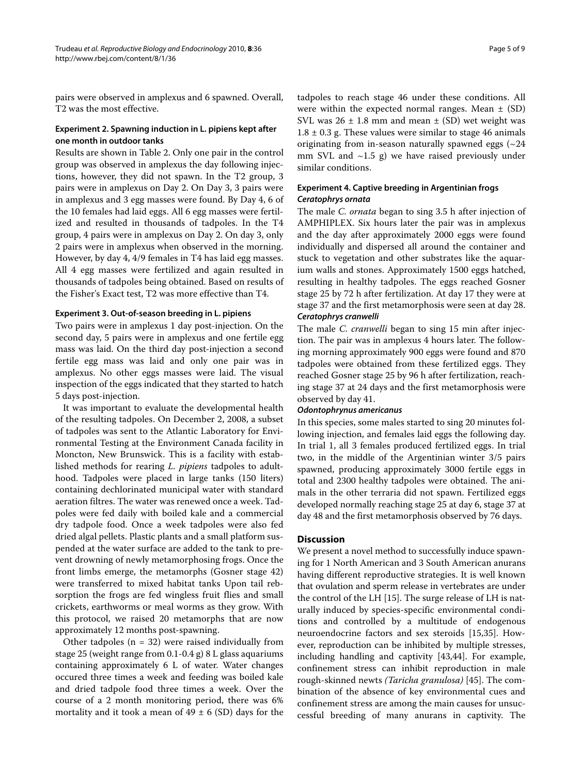pairs were observed in amplexus and 6 spawned. Overall, T2 was the most effective.

#### **Experiment 2. Spawning induction in L. pipiens kept after one month in outdoor tanks**

Results are shown in Table [2](#page-3-0). Only one pair in the control group was observed in amplexus the day following injections, however, they did not spawn. In the T2 group, 3 pairs were in amplexus on Day 2. On Day 3, 3 pairs were in amplexus and 3 egg masses were found. By Day 4, 6 of the 10 females had laid eggs. All 6 egg masses were fertilized and resulted in thousands of tadpoles. In the T4 group, 4 pairs were in amplexus on Day 2. On day 3, only 2 pairs were in amplexus when observed in the morning. However, by day 4, 4/9 females in T4 has laid egg masses. All 4 egg masses were fertilized and again resulted in thousands of tadpoles being obtained. Based on results of the Fisher's Exact test, T2 was more effective than T4.

#### **Experiment 3. Out-of-season breeding in L. pipiens**

Two pairs were in amplexus 1 day post-injection. On the second day, 5 pairs were in amplexus and one fertile egg mass was laid. On the third day post-injection a second fertile egg mass was laid and only one pair was in amplexus. No other eggs masses were laid. The visual inspection of the eggs indicated that they started to hatch 5 days post-injection.

It was important to evaluate the developmental health of the resulting tadpoles. On December 2, 2008, a subset of tadpoles was sent to the Atlantic Laboratory for Environmental Testing at the Environment Canada facility in Moncton, New Brunswick. This is a facility with established methods for rearing *L. pipiens* tadpoles to adulthood. Tadpoles were placed in large tanks (150 liters) containing dechlorinated municipal water with standard aeration filtres. The water was renewed once a week. Tadpoles were fed daily with boiled kale and a commercial dry tadpole food. Once a week tadpoles were also fed dried algal pellets. Plastic plants and a small platform suspended at the water surface are added to the tank to prevent drowning of newly metamorphosing frogs. Once the front limbs emerge, the metamorphs (Gosner stage 42) were transferred to mixed habitat tanks Upon tail rebsorption the frogs are fed wingless fruit flies and small crickets, earthworms or meal worms as they grow. With this protocol, we raised 20 metamorphs that are now approximately 12 months post-spawning.

Other tadpoles ( $n = 32$ ) were raised individually from stage 25 (weight range from 0.1-0.4 g) 8 L glass aquariums containing approximately 6 L of water. Water changes occured three times a week and feeding was boiled kale and dried tadpole food three times a week. Over the course of a 2 month monitoring period, there was 6% mortality and it took a mean of  $49 \pm 6$  (SD) days for the

tadpoles to reach stage 46 under these conditions. All were within the expected normal ranges. Mean  $\pm$  (SD) SVL was  $26 \pm 1.8$  mm and mean  $\pm$  (SD) wet weight was  $1.8 \pm 0.3$  g. These values were similar to stage 46 animals originating from in-season naturally spawned eggs  $(\sim 24)$ mm SVL and  $\sim$ 1.5 g) we have raised previously under similar conditions.

## **Experiment 4. Captive breeding in Argentinian frogs Ceratophrys ornata**

The male *C. ornata* began to sing 3.5 h after injection of AMPHIPLEX. Six hours later the pair was in amplexus and the day after approximately 2000 eggs were found individually and dispersed all around the container and stuck to vegetation and other substrates like the aquarium walls and stones. Approximately 1500 eggs hatched, resulting in healthy tadpoles. The eggs reached Gosner stage 25 by 72 h after fertilization. At day 17 they were at stage 37 and the first metamorphosis were seen at day 28. **Ceratophrys cranwelli**

The male *C. cranwelli* began to sing 15 min after injection. The pair was in amplexus 4 hours later. The following morning approximately 900 eggs were found and 870 tadpoles were obtained from these fertilized eggs. They reached Gosner stage 25 by 96 h after fertilization, reaching stage 37 at 24 days and the first metamorphosis were observed by day 41.

#### **Odontophrynus americanus**

In this species, some males started to sing 20 minutes following injection, and females laid eggs the following day. In trial 1, all 3 females produced fertilized eggs. In trial two, in the middle of the Argentinian winter 3/5 pairs spawned, producing approximately 3000 fertile eggs in total and 2300 healthy tadpoles were obtained. The animals in the other terraria did not spawn. Fertilized eggs developed normally reaching stage 25 at day 6, stage 37 at day 48 and the first metamorphosis observed by 76 days.

#### **Discussion**

We present a novel method to successfully induce spawning for 1 North American and 3 South American anurans having different reproductive strategies. It is well known that ovulation and sperm release in vertebrates are under the control of the LH [[15](#page-7-9)]. The surge release of LH is naturally induced by species-specific environmental conditions and controlled by a multitude of endogenous neuroendocrine factors and sex steroids [[15](#page-7-9),[35\]](#page-8-10). However, reproduction can be inhibited by multiple stresses, including handling and captivity [[43](#page-8-11),[44\]](#page-8-12). For example, confinement stress can inhibit reproduction in male rough-skinned newts *(Taricha granulosa)* [[45](#page-8-13)]. The combination of the absence of key environmental cues and confinement stress are among the main causes for unsuccessful breeding of many anurans in captivity. The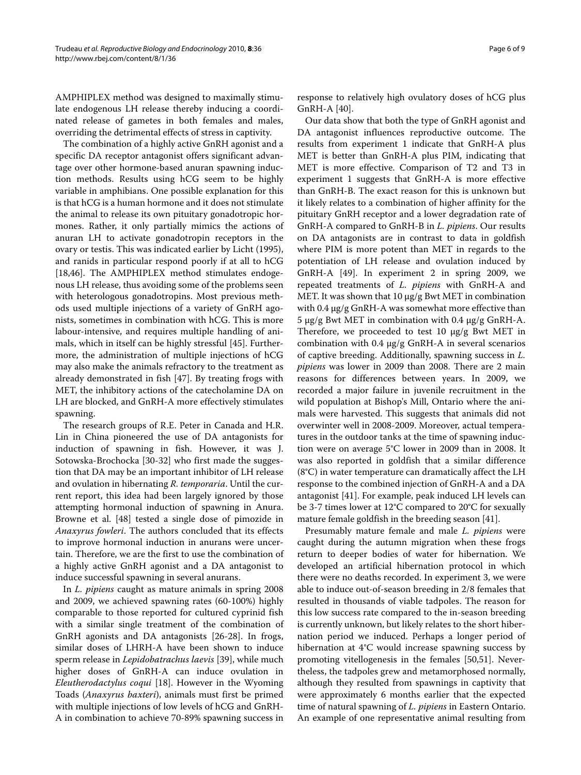AMPHIPLEX method was designed to maximally stimulate endogenous LH release thereby inducing a coordinated release of gametes in both females and males, overriding the detrimental effects of stress in captivity.

The combination of a highly active GnRH agonist and a specific DA receptor antagonist offers significant advantage over other hormone-based anuran spawning induction methods. Results using hCG seem to be highly variable in amphibians. One possible explanation for this is that hCG is a human hormone and it does not stimulate the animal to release its own pituitary gonadotropic hormones. Rather, it only partially mimics the actions of anuran LH to activate gonadotropin receptors in the ovary or testis. This was indicated earlier by Licht (1995), and ranids in particular respond poorly if at all to hCG [[18,](#page-7-20)[46\]](#page-8-14). The AMPHIPLEX method stimulates endogenous LH release, thus avoiding some of the problems seen with heterologous gonadotropins. Most previous methods used multiple injections of a variety of GnRH agonists, sometimes in combination with hCG. This is more labour-intensive, and requires multiple handling of animals, which in itself can be highly stressful [\[45](#page-8-13)]. Furthermore, the administration of multiple injections of hCG may also make the animals refractory to the treatment as already demonstrated in fish [[47](#page-8-15)]. By treating frogs with MET, the inhibitory actions of the catecholamine DA on LH are blocked, and GnRH-A more effectively stimulates spawning.

The research groups of R.E. Peter in Canada and H.R. Lin in China pioneered the use of DA antagonists for induction of spawning in fish. However, it was J. Sotowska-Brochocka [[30](#page-8-0)[-32](#page-8-2)] who first made the suggestion that DA may be an important inhibitor of LH release and ovulation in hibernating *R. temporaria*. Until the current report, this idea had been largely ignored by those attempting hormonal induction of spawning in Anura. Browne et al. [[48](#page-8-16)] tested a single dose of pimozide in *Anaxyrus fowleri*. The authors concluded that its effects to improve hormonal induction in anurans were uncertain. Therefore, we are the first to use the combination of a highly active GnRH agonist and a DA antagonist to induce successful spawning in several anurans.

In *L. pipiens* caught as mature animals in spring 2008 and 2009, we achieved spawning rates (60-100%) highly comparable to those reported for cultured cyprinid fish with a similar single treatment of the combination of GnRH agonists and DA antagonists [\[26](#page-7-18)-[28](#page-7-21)]. In frogs, similar doses of LHRH-A have been shown to induce sperm release in *Lepidobatrachus laevis* [\[39](#page-8-17)], while much higher doses of GnRH-A can induce ovulation in *Eleutherodactylus coqui* [\[18\]](#page-7-20). However in the Wyoming Toads (*Anaxyrus baxteri*), animals must first be primed with multiple injections of low levels of hCG and GnRH-A in combination to achieve 70-89% spawning success in

response to relatively high ovulatory doses of hCG plus GnRH-A [\[40](#page-8-7)].

Our data show that both the type of GnRH agonist and DA antagonist influences reproductive outcome. The results from experiment 1 indicate that GnRH-A plus MET is better than GnRH-A plus PIM, indicating that MET is more effective. Comparison of T2 and T3 in experiment 1 suggests that GnRH-A is more effective than GnRH-B. The exact reason for this is unknown but it likely relates to a combination of higher affinity for the pituitary GnRH receptor and a lower degradation rate of GnRH-A compared to GnRH-B in *L. pipiens*. Our results on DA antagonists are in contrast to data in goldfish where PIM is more potent than MET in regards to the potentiation of LH release and ovulation induced by GnRH-A [\[49](#page-8-18)]. In experiment 2 in spring 2009, we repeated treatments of *L. pipiens* with GnRH-A and MET. It was shown that 10 μg/g Bwt MET in combination with 0.4 μg/g GnRH-A was somewhat more effective than 5 μg/g Bwt MET in combination with 0.4 μg/g GnRH-A. Therefore, we proceeded to test 10 μg/g Bwt MET in combination with 0.4 μg/g GnRH-A in several scenarios of captive breeding. Additionally, spawning success in *L. pipiens* was lower in 2009 than 2008. There are 2 main reasons for differences between years. In 2009, we recorded a major failure in juvenile recruitment in the wild population at Bishop's Mill, Ontario where the animals were harvested. This suggests that animals did not overwinter well in 2008-2009. Moreover, actual temperatures in the outdoor tanks at the time of spawning induction were on average 5°C lower in 2009 than in 2008. It was also reported in goldfish that a similar difference (8°C) in water temperature can dramatically affect the LH response to the combined injection of GnRH-A and a DA antagonist [\[41](#page-8-8)]. For example, peak induced LH levels can be 3-7 times lower at 12°C compared to 20°C for sexually mature female goldfish in the breeding season [\[41](#page-8-8)].

Presumably mature female and male *L. pipiens* were caught during the autumn migration when these frogs return to deeper bodies of water for hibernation. We developed an artificial hibernation protocol in which there were no deaths recorded. In experiment 3, we were able to induce out-of-season breeding in 2/8 females that resulted in thousands of viable tadpoles. The reason for this low success rate compared to the in-season breeding is currently unknown, but likely relates to the short hibernation period we induced. Perhaps a longer period of hibernation at 4°C would increase spawning success by promoting vitellogenesis in the females [[50,](#page-8-19)[51\]](#page-8-20). Nevertheless, the tadpoles grew and metamorphosed normally, although they resulted from spawnings in captivity that were approximately 6 months earlier that the expected time of natural spawning of *L. pipiens* in Eastern Ontario. An example of one representative animal resulting from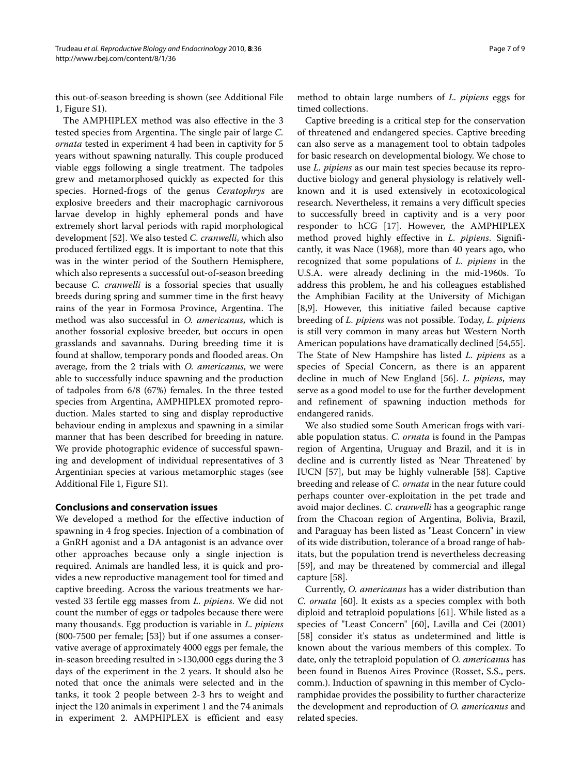this out-of-season breeding is shown (see Additional File [1,](#page-7-22) Figure S1).

The AMPHIPLEX method was also effective in the 3 tested species from Argentina. The single pair of large *C. ornata* tested in experiment 4 had been in captivity for 5 years without spawning naturally. This couple produced viable eggs following a single treatment. The tadpoles grew and metamorphosed quickly as expected for this species. Horned-frogs of the genus *Ceratophrys* are explosive breeders and their macrophagic carnivorous larvae develop in highly ephemeral ponds and have extremely short larval periods with rapid morphological development [\[52](#page-8-21)]. We also tested *C. cranwelli*, which also produced fertilized eggs. It is important to note that this was in the winter period of the Southern Hemisphere, which also represents a successful out-of-season breeding because *C. cranwelli* is a fossorial species that usually breeds during spring and summer time in the first heavy rains of the year in Formosa Province, Argentina. The method was also successful in *O. americanus*, which is another fossorial explosive breeder, but occurs in open grasslands and savannahs. During breeding time it is found at shallow, temporary ponds and flooded areas. On average, from the 2 trials with *O. americanus*, we were able to successfully induce spawning and the production of tadpoles from 6/8 (67%) females. In the three tested species from Argentina, AMPHIPLEX promoted reproduction. Males started to sing and display reproductive behaviour ending in amplexus and spawning in a similar manner that has been described for breeding in nature. We provide photographic evidence of successful spawning and development of individual representatives of 3 Argentinian species at various metamorphic stages (see Additional File [1](#page-7-22), Figure S1).

#### **Conclusions and conservation issues**

We developed a method for the effective induction of spawning in 4 frog species. Injection of a combination of a GnRH agonist and a DA antagonist is an advance over other approaches because only a single injection is required. Animals are handled less, it is quick and provides a new reproductive management tool for timed and captive breeding. Across the various treatments we harvested 33 fertile egg masses from *L. pipiens*. We did not count the number of eggs or tadpoles because there were many thousands. Egg production is variable in *L. pipiens* (800-7500 per female; [\[53\]](#page-8-22)) but if one assumes a conservative average of approximately 4000 eggs per female, the in-season breeding resulted in >130,000 eggs during the 3 days of the experiment in the 2 years. It should also be noted that once the animals were selected and in the tanks, it took 2 people between 2-3 hrs to weight and inject the 120 animals in experiment 1 and the 74 animals in experiment 2. AMPHIPLEX is efficient and easy method to obtain large numbers of *L. pipiens* eggs for timed collections.

Captive breeding is a critical step for the conservation of threatened and endangered species. Captive breeding can also serve as a management tool to obtain tadpoles for basic research on developmental biology. We chose to use *L. pipiens* as our main test species because its reproductive biology and general physiology is relatively wellknown and it is used extensively in ecotoxicological research. Nevertheless, it remains a very difficult species to successfully breed in captivity and is a very poor responder to hCG [\[17](#page-7-11)]. However, the AMPHIPLEX method proved highly effective in *L. pipiens*. Significantly, it was Nace (1968), more than 40 years ago, who recognized that some populations of *L. pipiens* in the U.S.A. were already declining in the mid-1960s. To address this problem, he and his colleagues established the Amphibian Facility at the University of Michigan [[8,](#page-7-2)[9](#page-7-3)]. However, this initiative failed because captive breeding of *L. pipiens* was not possible. Today, *L. pipiens* is still very common in many areas but Western North American populations have dramatically declined [\[54](#page-8-23)[,55](#page-8-24)]. The State of New Hampshire has listed *L. pipiens* as a species of Special Concern, as there is an apparent decline in much of New England [[56](#page-8-25)]. *L. pipiens*, may serve as a good model to use for the further development and refinement of spawning induction methods for endangered ranids.

We also studied some South American frogs with variable population status. *C. ornata* is found in the Pampas region of Argentina, Uruguay and Brazil, and it is in decline and is currently listed as 'Near Threatened' by IUCN [[57\]](#page-8-26), but may be highly vulnerable [[58\]](#page-8-27). Captive breeding and release of *C. ornata* in the near future could perhaps counter over-exploitation in the pet trade and avoid major declines. *C. cranwelli* has a geographic range from the Chacoan region of Argentina, Bolivia, Brazil, and Paraguay has been listed as "Least Concern" in view of its wide distribution, tolerance of a broad range of habitats, but the population trend is nevertheless decreasing [[59\]](#page-8-28), and may be threatened by commercial and illegal capture [\[58\]](#page-8-27).

Currently, *O. americanus* has a wider distribution than *C. ornata* [[60\]](#page-8-29). It exists as a species complex with both diploid and tetraploid populations [[61\]](#page-8-30). While listed as a species of "Least Concern" [[60\]](#page-8-29), Lavilla and Cei (2001) [[58\]](#page-8-27) consider it's status as undetermined and little is known about the various members of this complex. To date, only the tetraploid population of *O. americanus* has been found in Buenos Aires Province (Rosset, S.S., pers. comm.). Induction of spawning in this member of Cycloramphidae provides the possibility to further characterize the development and reproduction of *O. americanus* and related species.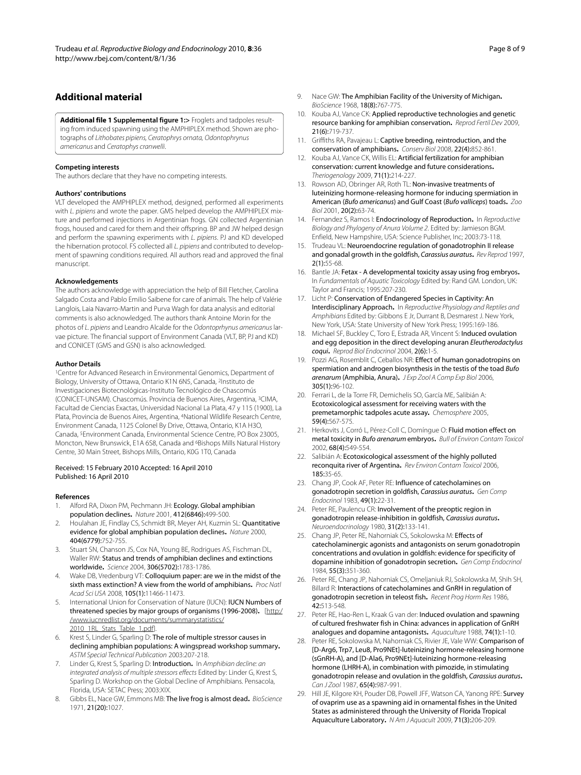### **Additional material**

<span id="page-7-22"></span>**[Additional file 1](http://www.biomedcentral.com/content/supplementary/1477-7827-8-36-S1.PDF) Supplemental figure 1:>** Froglets and tadpoles resulting from induced spawning using the AMPHIPLEX method. Shown are photographs of Lithobates pipiens, Ceratophrys ornata, Odontophrynus americanus and Ceratophys cranwelli.

#### **Competing interests**

The authors declare that they have no competing interests.

#### **Authors' contributions**

VLT developed the AMPHIPLEX method, designed, performed all experiments with L. pipiens and wrote the paper. GMS helped develop the AMPHIPLEX mixture and performed injections in Argentinian frogs. GN collected Argentinian frogs, housed and cared for them and their offspring. BP and JW helped design and perform the spawning experiments with L. pipiens. PJ and KD developed the hibernation protocol. FS collected all L. pipiens and contributed to development of spawning conditions required. All authors read and approved the final manuscript.

#### **Acknowledgements**

The authors acknowledge with appreciation the help of Bill Fletcher, Carolina Salgado Costa and Pablo Emilio Saibene for care of animals. The help of Valérie Langlois, Laia Navarro-Martin and Purva Wagh for data analysis and editorial comments is also acknowledged. The authors thank Antoine Morin for the photos of L. pipiens and Leandro Alcalde for the Odontoprhynus americanus larvae picture. The financial support of Environment Canada (VLT, BP, PJ and KD) and CONICET (GMS and GSN) is also acknowledged.

#### **Author Details**

1Centre for Advanced Research in Environmental Genomics, Department of Biology, University of Ottawa, Ontario K1N 6N5, Canada, 2Instituto de Investigaciones Biotecnológicas-Instituto Tecnológico de Chascomús (CONICET-UNSAM). Chascomús. Provincia de Buenos Aires, Argentina, 3CIMA, Facultad de Ciencias Exactas, Universidad Nacional La Plata, 47 y 115 (1900), La Plata, Provincia de Buenos Aires, Argentina, 4National Wildlife Research Centre, Environment Canada, 1125 Colonel By Drive, Ottawa, Ontario, K1A H3O, Canada, 5Environment Canada, Environmental Science Centre, PO Box 23005, Moncton, New Brunswick, E1A 6S8, Canada and 6Bishops Mills Natural History Centre, 30 Main Street, Bishops Mills, Ontario, K0G 1T0, Canada

#### Received: 15 February 2010 Accepted: 16 April 2010 Published: 16 April 2010

#### **References**

- <span id="page-7-0"></span>Alford RA, Dixon PM, Pechmann JH: Ecology. Global amphibian population declines**.** Nature 2001, 412(6846):499-500.
- 2. Houlahan JE, Findlay CS, Schmidt BR, Meyer AH, Kuzmin SL: Quantitative evidence for global amphibian population declines**[.](http://www.ncbi.nlm.nih.gov/entrez/query.fcgi?cmd=Retrieve&db=PubMed&dopt=Abstract&list_uids=10783886)** Nature 2000, 404(6779):752-755.
- 3. Stuart SN, Chanson JS, Cox NA, Young BE, Rodrigues AS, Fischman DL, Waller RW: Status and trends of amphibian declines and extinctions worldwide**.** Science 2004, 306(5702):1783-1786.
- Wake DB, Vredenburg VT: Colloquium paper: are we in the midst of the sixth mass extinction? A view from the world of amphibians. Proc Natl Acad Sci USA 2008, 105(1):11466-11473.
- 5. International Union for Conservation of Nature (IUCN): IUCN Numbers of threatened species by major groups of organisms (1996-2008)**.** [\[http:/](http://www.iucnredlist.org/documents/summarystatistics/2010_1RL_Stats_Table_1.pdf) [/www.iucnredlist.org/documents/summarystatistics/](http://www.iucnredlist.org/documents/summarystatistics/2010_1RL_Stats_Table_1.pdf) [2010\\_1RL\\_Stats\\_Table\\_1.pdf](http://www.iucnredlist.org/documents/summarystatistics/2010_1RL_Stats_Table_1.pdf)l.
- Krest S, Linder G, Sparling D: The role of multiple stressor causes in declining amphibian populations: A wingspread workshop summary**.** ASTM Special Technical Publication 2003:207-218.
- <span id="page-7-1"></span>7. Linder G, Krest S, Sparling D: Introduction**.** In Amphibian decline: an integrated analysis of multiple stressors effects Edited by: Linder G, Krest S, Sparling D. Workshop on the Global Decline of Amphibians. Pensacola, Florida, USA: SETAC Press; 2003:XIX.
- <span id="page-7-2"></span>Gibbs EL, Nace GW, Emmons MB: The live frog is almost dead. BioScience 1971, 21(20):1027.
- <span id="page-7-3"></span>9. Nace GW: The Amphibian Facility of the University of Michigan**.** BioScience 1968, 18(8):767-775.
- <span id="page-7-4"></span>10. Kouba AJ, Vance CK: Applied reproductive technologies and genetic resource banking for amphibian conservation**.** Reprod Fertil Dev 2009, 21(6):719-737.
- <span id="page-7-5"></span>11. Griffiths RA, Pavajeau L: Captive breeding, reintroduction, and the conservation of amphibians**.** Conserv Biol 2008, 22(4):852-861.
- <span id="page-7-6"></span>12. Kouba AJ, Vance CK, Willis EL: Artificial fertilization for amphibian conservation: current knowledge and future considerations**[.](http://www.ncbi.nlm.nih.gov/entrez/query.fcgi?cmd=Retrieve&db=PubMed&dopt=Abstract&list_uids=19026442)** Theriogenology 2009, 71(1):214-227.
- <span id="page-7-7"></span>13. Rowson AD, Obringer AR, Roth TL: Non-invasive treatments of luteinizing hormone-releasing hormone for inducing spermiation in American (Bufo americanus) and Gulf Coast (Bufo valliceps) toads**.** Zoo Biol 2001, 20(2):63-74.
- <span id="page-7-8"></span>14. Fernandez S, Ramos I: Endocrinology of Reproduction**.** In Reproductive Biology and Phylogeny of Anura Volume 2. Edited by: Jamieson BGM. Enfield, New Hampshire, USA: Science Publisher, Inc; 2003:73-118.
- <span id="page-7-9"></span>15. Trudeau VL: Neuroendocrine regulation of gonadotrophin II release and gonadal growth in the goldfish, Carassius auratus**.** Rev Reprod 1997, 2(1):55-68.
- <span id="page-7-10"></span>16. Bantle JA: Fetax - A developmental toxicity assay using frog embryos**.** In Fundamentals of Aquatic Toxicology Edited by: Rand GM. London, UK: Taylor and Francis; 1995:207-230.
- <span id="page-7-11"></span>17. Licht P: Conservation of Endangered Species in Captivity: An Interdisciplinary Approach**.** In Reproductive Physiology and Reptiles and Amphibians Edited by: Gibbons E Jr, Durrant B, Desmarest J. New York, New York, USA: State University of New York Press; 1995:169-186.
- <span id="page-7-20"></span>18. Michael SF, Buckley C, Toro E, Estrada AR, Vincent S: Induced ovulation and egg deposition in the direct developing anuran Eleutherodactylus coqui**[.](http://www.ncbi.nlm.nih.gov/entrez/query.fcgi?cmd=Retrieve&db=PubMed&dopt=Abstract&list_uids=14711378)** Reprod Biol Endocrinol 2004, 2(6):1-5.
- <span id="page-7-12"></span>19. Pozzi AG, Rosemblit C, Ceballos NR: Effect of human gonadotropins on spermiation and androgen biosynthesis in the testis of the toad Bufo arenarum (Amphibia, Anura)**.** J Exp Zool A Comp Exp Biol 2006, 305(1):96-102.
- <span id="page-7-13"></span>20. Ferrari L, de la Torre FR, Demichelis SO, García ME, Salibián A: Ecotoxicological assessment for receiving waters with the premetamorphic tadpoles acute assay**[.](http://www.ncbi.nlm.nih.gov/entrez/query.fcgi?cmd=Retrieve&db=PubMed&dopt=Abstract&list_uids=15788180)** Chemosphere 2005, 59(4):567-575.
- 21. Herkovits J, Corró L, Pérez-Coll C, Domíngue O: Fluid motion effect on metal toxicity in Bufo arenarum embryos**.** Bull of Environ Contam Toxicol 2002, 68(4):549-554.
- <span id="page-7-14"></span>22. Salibián A: Ecotoxicological assessment of the highly polluted reconquita river of Argentina**.** Rev Environ Contam Toxicol 2006, 185:35-65.
- <span id="page-7-15"></span>23. Chang JP, Cook AF, Peter RE: Influence of catecholamines on gonadotropin secretion in goldfish, Carassius auratus**.** Gen Comp Endocrinol 1983, 49(1):22-31.
- <span id="page-7-16"></span>24. Peter RE, Paulencu CR: Involvement of the preoptic region in gonadotropin release-inhibition in goldfish, Carassius auratus**.** Neuroendocrinology 1980, 31(2):133-141.
- <span id="page-7-17"></span>25. Chang JP, Peter RE, Nahorniak CS, Sokolowska M: Effects of catecholaminergic agonists and antagonists on serum gonadotropin concentrations and ovulation in goldfish: evidence for specificity of dopamine inhibition of gonadotropin secretion**.** Gen Comp Endocrinol 1984, 55(3):351-360.
- <span id="page-7-18"></span>26. Peter RE, Chang JP, Nahorniak CS, Omeljaniuk RJ, Sokolowska M, Shih SH, Billard R: Interactions of catecholamines and GnRH in regulation of gonadotropin secretion in teleost fish**.** Recent Prog Horm Res 1986, 42:513-548.
- 27. Peter RE, Hao-Ren L, Kraak G van der: Induced ovulation and spawning of cultured freshwater fish in China: advances in application of GnRH analogues and dopamine antagonists**.** Aquaculture 1988, 74(1):1-10.
- <span id="page-7-21"></span>28. Peter RE, Sokolowska M, Nahorniak CS, Rivier JE, Vale WW: Comparison of [D-Arg6, Trp7, Leu8, Pro9NEt]-luteinizing hormone-releasing hormone (sGnRH-A), and [D-Ala6, Pro9NEt]-luteinizing hormone-releasing hormone (LHRH-A), in combination with pimozide, in stimulating gonadotropin release and ovulation in the goldfish, Carassius auratus**.** Can J Zool 1987, 65(4):987-991.
- <span id="page-7-19"></span>29. Hill JE, Kilgore KH, Pouder DB, Powell JFF, Watson CA, Yanong RPE: Survey of ovaprim use as a spawning aid in ornamental fishes in the United States as administered through the University of Florida Tropical Aquaculture Laboratory**.** N Am J Aquacult 2009, 71(3):206-209.